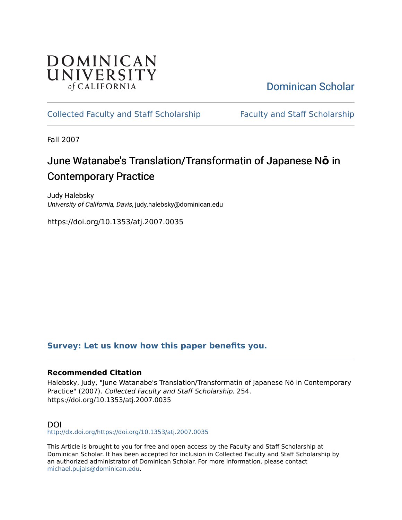

[Dominican Scholar](https://scholar.dominican.edu/) 

[Collected Faculty and Staff Scholarship](https://scholar.dominican.edu/all-faculty) [Faculty and Staff Scholarship](https://scholar.dominican.edu/faculty-scholarship) 

Fall 2007

# June Watanabe's Translation/Transformatin of Japanese No in Contemporary Practice

Judy Halebsky University of California, Davis, judy.halebsky@dominican.edu

https://doi.org/10.1353/atj.2007.0035

## **[Survey: Let us know how this paper benefits you.](https://dominican.libwizard.com/dominican-scholar-feedback)**

## **Recommended Citation**

Halebsky, Judy, "June Watanabe's Translation/Transformatin of Japanese Nō in Contemporary Practice" (2007). Collected Faculty and Staff Scholarship. 254. https://doi.org/10.1353/atj.2007.0035

### DOI

<http://dx.doi.org/https://doi.org/10.1353/atj.2007.0035>

This Article is brought to you for free and open access by the Faculty and Staff Scholarship at Dominican Scholar. It has been accepted for inclusion in Collected Faculty and Staff Scholarship by an authorized administrator of Dominican Scholar. For more information, please contact [michael.pujals@dominican.edu.](mailto:michael.pujals@dominican.edu)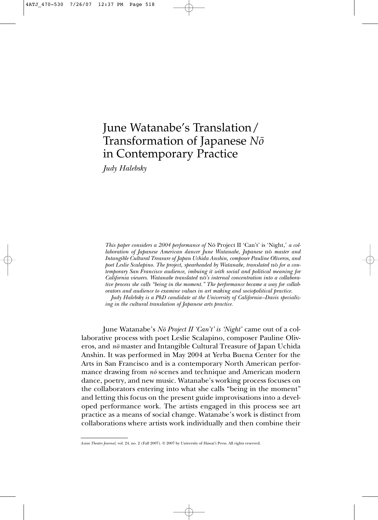## June Watanabe's Translation/ Transformation of Japanese Nö in Contemporary Practice

*Judy Halebsky*

*This paper considers a 2004 performance of* Nö Project II 'Can't' is 'Night,' *a collaboration of Japanese American dancer June Watanabe, Japanese* nö *master and Intangible Cultural Treasure of Japan Uchida Anshin, composer Pauline Oliveros, and poet Leslie Scalapino. The project, spearheaded by Watanabe, translated* nö *for a contemporary San Francisco audience, imbuing it with social and political meaning for California viewers. Watanabe translated* nö*'s internal concentration into a collaborative process she calls "being in the moment." The performance became a way for collaborators and audience to examine values in art making and sociopolitical practice.*

*Judy Halebsky is a PhD candidate at the University of California–Davis specializing in the cultural translation of Japanese arts practice.*

June Watanabe's *Nö Project II 'Can't' is 'Night'* came out of a collaborative process with poet Leslie Scalapino, composer Pauline Oliveros, and *nö* master and Intangible Cultural Treasure of Japan Uchida Anshin. It was performed in May 2004 at Yerba Buena Center for the Arts in San Francisco and is a contemporary North American performance drawing from *nö* scenes and technique and American modern dance, poetry, and new music. Watanabe's working process focuses on the collaborators entering into what she calls "being in the moment" and letting this focus on the present guide improvisations into a developed performance work. The artists engaged in this process see art practice as a means of social change. Watanabe's work is distinct from collaborations where artists work individually and then combine their

*Asian Theatre Journal,* vol. 24, no. 2 (Fall 2007). © 2007 by University of Hawai'i Press. All rights reserved.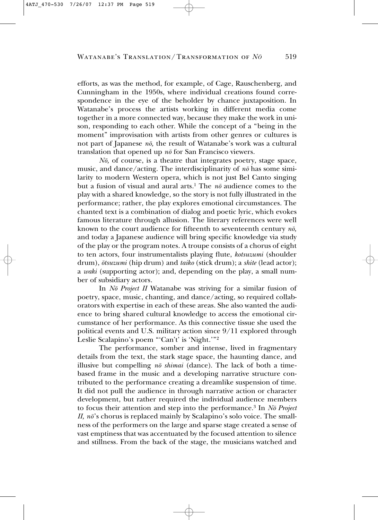4ATJ 470-530 7/26/07 12:37 PM

efforts, as was the method, for example, of Cage, Rauschenberg, and Cunningham in the 1950s, where individual creations found correspondence in the eye of the beholder by chance juxtaposition. In Watanabe's process the artists working in different media come together in a more connected way, because they make the work in unison, responding to each other. While the concept of a "being in the moment" improvisation with artists from other genres or cultures is not part of Japanese *nö,* the result of Watanabe's work was a cultural translation that opened up *nö* for San Francisco viewers.

*Nö,* of course, is a theatre that integrates poetry, stage space, music, and dance/acting. The interdisciplinarity of *nö* has some similarity to modern Western opera, which is not just Bel Canto singing but a fusion of visual and aural arts.1 The *nö* audience comes to the play with a shared knowledge, so the story is not fully illustrated in the performance; rather, the play explores emotional circumstances. The chanted text is a combination of dialog and poetic lyric, which evokes famous literature through allusion. The literary references were well known to the court audience for fifteenth to seventeenth century *nö,* and today a Japanese audience will bring specific knowledge via study of the play or the program notes. A troupe consists of a chorus of eight to ten actors, four instrumentalists playing flute, *kotsuzumi* (shoulder drum), *ötsuzumi* (hip drum) and *taiko* (stick drum); a *shite* (lead actor); a *waki* (supporting actor); and, depending on the play, a small number of subsidiary actors.

In *Nö Project II* Watanabe was striving for a similar fusion of poetry, space, music, chanting, and dance/acting, so required collaborators with expertise in each of these areas. She also wanted the audience to bring shared cultural knowledge to access the emotional circumstance of her performance. As this connective tissue she used the political events and U.S. military action since 9/11 explored through Leslie Scalapino's poem "'Can't' is 'Night.'"<sup>2</sup>

The performance, somber and intense, lived in fragmentary details from the text, the stark stage space, the haunting dance, and illusive but compelling *nö shimai* (dance). The lack of both a timebased frame in the music and a developing narrative structure contributed to the performance creating a dreamlike suspension of time. It did not pull the audience in through narrative action or character development, but rather required the individual audience members to focus their attention and step into the performance.3 In *Nö Project II, nö*'s chorus is replaced mainly by Scalapino's solo voice. The smallness of the performers on the large and sparse stage created a sense of vast emptiness that was accentuated by the focused attention to silence and stillness. From the back of the stage, the musicians watched and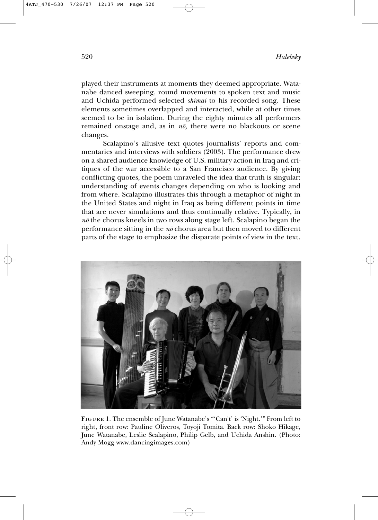played their instruments at moments they deemed appropriate. Watanabe danced sweeping, round movements to spoken text and music and Uchida performed selected *shimai* to his recorded song. These elements sometimes overlapped and interacted, while at other times seemed to be in isolation. During the eighty minutes all performers remained onstage and, as in *nö,* there were no blackouts or scene changes.

Scalapino's allusive text quotes journalists' reports and commentaries and interviews with soldiers (2003). The performance drew on a shared audience knowledge of U.S. military action in Iraq and critiques of the war accessible to a San Francisco audience. By giving conflicting quotes, the poem unraveled the idea that truth is singular: understanding of events changes depending on who is looking and from where. Scalapino illustrates this through a metaphor of night in the United States and night in Iraq as being different points in time that are never simulations and thus continually relative. Typically, in *nö* the chorus kneels in two rows along stage left. Scalapino began the performance sitting in the *nö* chorus area but then moved to different parts of the stage to emphasize the disparate points of view in the text.



Figure 1. The ensemble of June Watanabe's "'Can't' is 'Night.'" From left to right, front row: Pauline Oliveros, Toyoji Tomita. Back row: Shoko Hikage, June Watanabe, Leslie Scalapino, Philip Gelb, and Uchida Anshin. (Photo: Andy Mogg www.dancingimages.com)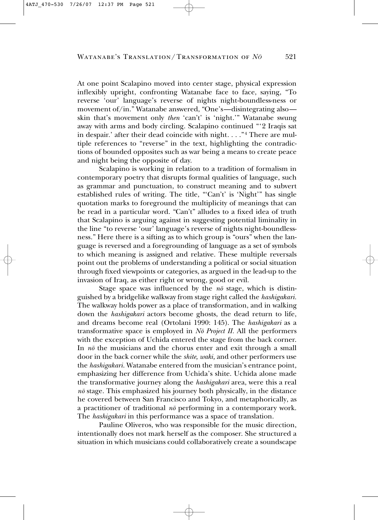4ATJ 470-530 7/26/07 12:37 PM Page

At one point Scalapino moved into center stage, physical expression inflexibly upright, confronting Watanabe face to face, saying, "To reverse 'our' language's reverse of nights night-boundless-ness or movement of/in." Watanabe answered, "One's—disintegrating also skin that's movement only *then* 'can't' is 'night.'" Watanabe swung away with arms and body circling. Scalapino continued "'2 Iraqis sat in despair.' after their dead coincide with night.  $\dots$ ."<sup>4</sup> There are multiple references to "reverse" in the text, highlighting the contradictions of bounded opposites such as war being a means to create peace and night being the opposite of day.

Scalapino is working in relation to a tradition of formalism in contemporary poetry that disrupts formal qualities of language, such as grammar and punctuation, to construct meaning and to subvert established rules of writing. The title, "'Can't' is 'Night'" has single quotation marks to foreground the multiplicity of meanings that can be read in a particular word. "Can't" alludes to a fixed idea of truth that Scalapino is arguing against in suggesting potential liminality in the line "to reverse 'our' language's reverse of nights night-boundlessness." Here there is a sifting as to which group is "ours" when the language is reversed and a foregrounding of language as a set of symbols to which meaning is assigned and relative. These multiple reversals point out the problems of understanding a political or social situation through fixed viewpoints or categories, as argued in the lead-up to the invasion of Iraq, as either right or wrong, good or evil.

Stage space was influenced by the *nö* stage, which is distinguished by a bridgelike walkway from stage right called the *hashigakari.* The walkway holds power as a place of transformation, and in walking down the *hashigakari* actors become ghosts, the dead return to life, and dreams become real (Ortolani 1990: 145). The *hashigakari* as a transformative space is employed in *Nö Project II.* All the performers with the exception of Uchida entered the stage from the back corner. In *nö* the musicians and the chorus enter and exit through a small door in the back corner while the *shite, waki,* and other performers use the *hashigakari.* Watanabe entered from the musician's entrance point, emphasizing her difference from Uchida's shite. Uchida alone made the transformative journey along the *hashigakari* area, were this a real *nö* stage. This emphasized his journey both physically, in the distance he covered between San Francisco and Tokyo, and metaphorically, as a practitioner of traditional *nö* performing in a contemporary work. The *hashigakari* in this performance was a space of translation.

Pauline Oliveros, who was responsible for the music direction, intentionally does not mark herself as the composer. She structured a situation in which musicians could collaboratively create a soundscape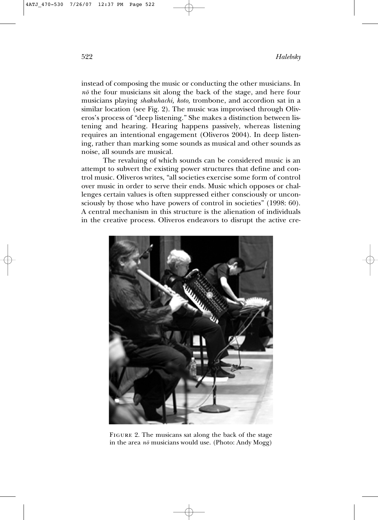instead of composing the music or conducting the other musicians. In *nö* the four musicians sit along the back of the stage, and here four musicians playing *shakuhachi, koto,* trombone, and accordion sat in a similar location (see Fig. 2). The music was improvised through Oliveros's process of "deep listening." She makes a distinction between listening and hearing. Hearing happens passively, whereas listening requires an intentional engagement (Oliveros 2004). In deep listening, rather than marking some sounds as musical and other sounds as noise, all sounds are musical.

The revaluing of which sounds can be considered music is an attempt to subvert the existing power structures that define and control music. Oliveros writes, "all societies exercise some form of control over music in order to serve their ends. Music which opposes or challenges certain values is often suppressed either consciously or unconsciously by those who have powers of control in societies" (1998: 60). A central mechanism in this structure is the alienation of individuals in the creative process. Oliveros endeavors to disrupt the active cre-



FIGURE 2. The musicans sat along the back of the stage in the area *nö* musicians would use. (Photo: Andy Mogg)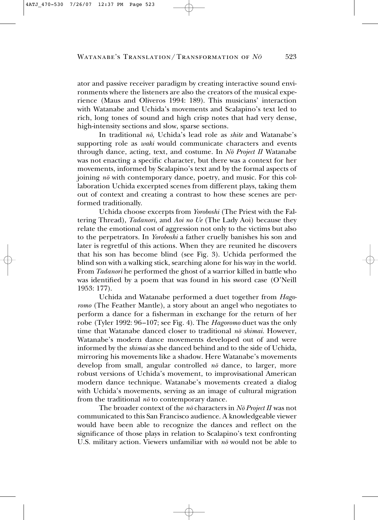4ATJ 470-530 7/26/07 12:37

ator and passive receiver paradigm by creating interactive sound environments where the listeners are also the creators of the musical experience (Maus and Oliveros 1994: 189). This musicians' interaction with Watanabe and Uchida's movements and Scalapino's text led to rich, long tones of sound and high crisp notes that had very dense, high-intensity sections and slow, sparse sections.

In traditional *nö,* Uchida's lead role as *shite* and Watanabe's supporting role as *waki* would communicate characters and events through dance, acting, text, and costume. In *Nö Project II* Watanabe was not enacting a specific character, but there was a context for her movements, informed by Scalapino's text and by the formal aspects of joining *nö* with contemporary dance, poetry, and music. For this collaboration Uchida excerpted scenes from different plays, taking them out of context and creating a contrast to how these scenes are performed traditionally.

Uchida choose excerpts from *Yoroboshi* (The Priest with the Faltering Thread), *Tadanori,* and *Aoi no Ue* (The Lady Aoi) because they relate the emotional cost of aggression not only to the victims but also to the perpetrators. In *Yoroboshi* a father cruelly banishes his son and later is regretful of this actions. When they are reunited he discovers that his son has become blind (see Fig. 3). Uchida performed the blind son with a walking stick, searching alone for his way in the world. From *Tadanori* he performed the ghost of a warrior killed in battle who was identified by a poem that was found in his sword case (O'Neill 1953: 177).

Uchida and Watanabe performed a duet together from *Hagoromo* (The Feather Mantle), a story about an angel who negotiates to perform a dance for a fisherman in exchange for the return of her robe (Tyler 1992: 96–107; see Fig. 4). The *Hagoromo* duet was the only time that Watanabe danced closer to traditional *nö shimai.* However, Watanabe's modern dance movements developed out of and were informed by the *shimai* as she danced behind and to the side of Uchida, mirroring his movements like a shadow. Here Watanabe's movements develop from small, angular controlled *nö* dance, to larger, more robust versions of Uchida's movement, to improvisational American modern dance technique. Watanabe's movements created a dialog with Uchida's movements, serving as an image of cultural migration from the traditional *nö* to contemporary dance.

The broader context of the *nö* characters in *Nö Project II* was not communicated to this San Francisco audience. A knowledgeable viewer would have been able to recognize the dances and reflect on the significance of those plays in relation to Scalapino's text confronting U.S. military action. Viewers unfamiliar with *nö* would not be able to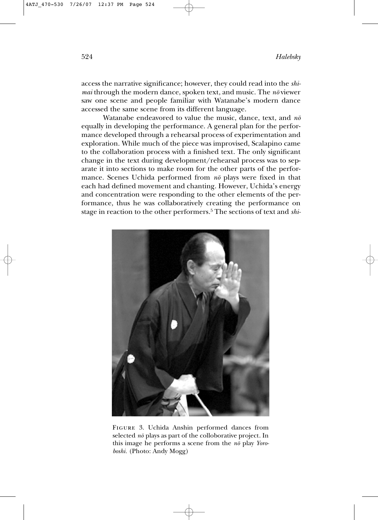access the narrative significance; however, they could read into the *shimai* through the modern dance, spoken text, and music. The *nö* viewer saw one scene and people familiar with Watanabe's modern dance accessed the same scene from its different language.

Watanabe endeavored to value the music, dance, text, and *nö* equally in developing the performance. A general plan for the performance developed through a rehearsal process of experimentation and exploration. While much of the piece was improvised, Scalapino came to the collaboration process with a finished text. The only significant change in the text during development/rehearsal process was to separate it into sections to make room for the other parts of the performance. Scenes Uchida performed from *nö* plays were fixed in that each had defined movement and chanting. However, Uchida's energy and concentration were responding to the other elements of the performance, thus he was collaboratively creating the performance on stage in reaction to the other performers.5 The sections of text and *shi-*



Figure 3. Uchida Anshin performed dances from selected *nö* plays as part of the colloborative project. In this image he performs a scene from the *nö* play *Yoroboshi.* (Photo: Andy Mogg)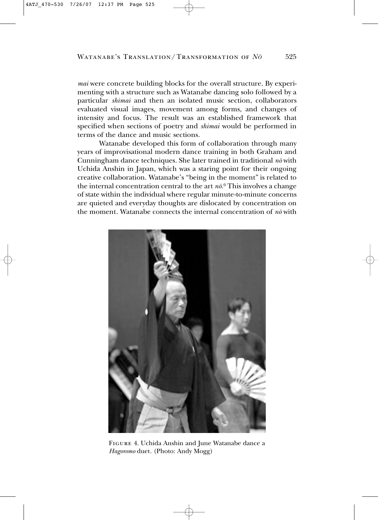4ATJ\_470-530 7/26/07 12:37 PM Page 525

*mai* were concrete building blocks for the overall structure. By experimenting with a structure such as Watanabe dancing solo followed by a particular *shimai* and then an isolated music section, collaborators evaluated visual images, movement among forms, and changes of intensity and focus. The result was an established framework that specified when sections of poetry and *shimai* would be performed in terms of the dance and music sections.

Watanabe developed this form of collaboration through many years of improvisational modern dance training in both Graham and Cunningham dance techniques. She later trained in traditional *nö* with Uchida Anshin in Japan, which was a staring point for their ongoing creative collaboration. Watanabe's "being in the moment" is related to the internal concentration central to the art  $n\bar{\sigma}$ <sup>6</sup>. This involves a change of state within the individual where regular minute-to-minute concerns are quieted and everyday thoughts are dislocated by concentration on the moment. Watanabe connects the internal concentration of *nö* with



Figure 4. Uchida Anshin and June Watanabe dance a *Hagoromo* duet. (Photo: Andy Mogg)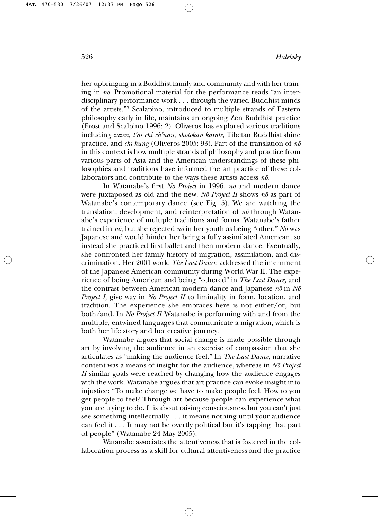her upbringing in a Buddhist family and community and with her training in *nö.* Promotional material for the performance reads "an interdisciplinary performance work . . . through the varied Buddhist minds of the artists."7 Scalapino, introduced to multiple strands of Eastern philosophy early in life, maintains an ongoing Zen Buddhist practice (Frost and Scalpino 1996: 2). Oliveros has explored various traditions including *zazen, t'ai chi ch'uan, shotokan karate,* Tibetan Buddhist shine practice, and *chi kung* (Oliveros 2005: 93). Part of the translation of *nö* in this context is how multiple strands of philosophy and practice from various parts of Asia and the American understandings of these philosophies and traditions have informed the art practice of these collaborators and contribute to the ways these artists access *nö.*

In Watanabe's first *Nö Project* in 1996, *nö* and modern dance were juxtaposed as old and the new. *Nö Project II* shows *nö* as part of Watanabe's contemporary dance (see Fig. 5). We are watching the translation, development, and reinterpretation of *nö* through Watanabe's experience of multiple traditions and forms. Watanabe's father trained in *nö,* but she rejected *nö* in her youth as being "other." *Nö* was Japanese and would hinder her being a fully assimilated American, so instead she practiced first ballet and then modern dance. Eventually, she confronted her family history of migration, assimilation, and discrimination. Her 2001 work, *The Last Dance,* addressed the internment of the Japanese American community during World War II. The experience of being American and being "othered" in *The Last Dance,* and the contrast between American modern dance and Japanese *nö* in *Nö Project I,* give way in *Nö Project II* to liminality in form, location, and tradition. The experience she embraces here is not either/or, but both/and. In *Nö Project II* Watanabe is performing with and from the multiple, entwined languages that communicate a migration, which is both her life story and her creative journey.

Watanabe argues that social change is made possible through art by involving the audience in an exercise of compassion that she articulates as "making the audience feel." In *The Last Dance,* narrative content was a means of insight for the audience, whereas in *Nö Project II* similar goals were reached by changing how the audience engages with the work. Watanabe argues that art practice can evoke insight into injustice: "To make change we have to make people feel. How to you get people to feel? Through art because people can experience what you are trying to do. It is about raising consciousness but you can't just see something intellectually . . . it means nothing until your audience can feel it . . . It may not be overtly political but it's tapping that part of people" (Watanabe 24 May 2005).

Watanabe associates the attentiveness that is fostered in the collaboration process as a skill for cultural attentiveness and the practice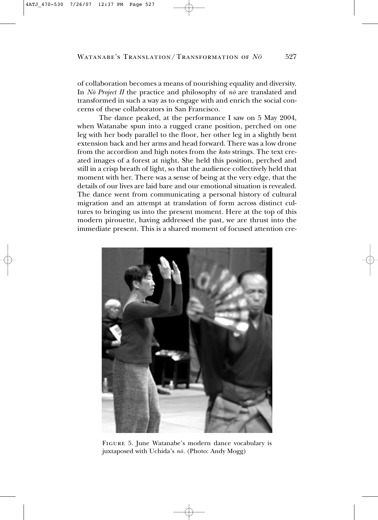of collaboration becomes a means of nourishing equality and diversity. In *Nö Project II* the practice and philosophy of *nö* are translated and transformed in such a way as to engage with and enrich the social concerns of these collaborators in San Francisco.

The dance peaked, at the performance I saw on 5 May 2004, when Watanabe spun into a rugged crane position, perched on one leg with her body parallel to the floor, her other leg in a slightly bent extension back and her arms and head forward. There was a low drone from the accordion and high notes from the *koto* strings. The text created images of a forest at night. She held this position, perched and still in a crisp breath of light, so that the audience collectively held that moment with her. There was a sense of being at the very edge, that the details of our lives are laid bare and our emotional situation is revealed. The dance went from communicating a personal history of cultural migration and an attempt at translation of form across distinct cultures to bringing us into the present moment. Here at the top of this modern pirouette, having addressed the past, we are thrust into the immediate present. This is a shared moment of focused attention cre-



Figure 5. June Watanabe's modern dance vocabulary is juxtaposed with Uchida's *nö.* (Photo: Andy Mogg)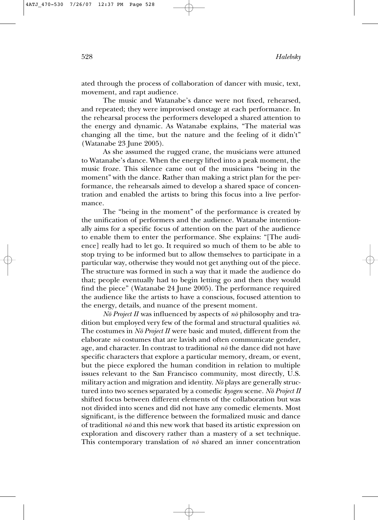ated through the process of collaboration of dancer with music, text, movement, and rapt audience.

The music and Watanabe's dance were not fixed, rehearsed, and repeated; they were improvised onstage at each performance. In the rehearsal process the performers developed a shared attention to the energy and dynamic. As Watanabe explains, "The material was changing all the time, but the nature and the feeling of it didn't" (Watanabe 23 June 2005).

As she assumed the rugged crane, the musicians were attuned to Watanabe's dance. When the energy lifted into a peak moment, the music froze. This silence came out of the musicians "being in the moment" with the dance. Rather than making a strict plan for the performance, the rehearsals aimed to develop a shared space of concentration and enabled the artists to bring this focus into a live performance.

The "being in the moment" of the performance is created by the unification of performers and the audience. Watanabe intentionally aims for a specific focus of attention on the part of the audience to enable them to enter the performance. She explains: "[The audience] really had to let go. It required so much of them to be able to stop trying to be informed but to allow themselves to participate in a particular way, otherwise they would not get anything out of the piece. The structure was formed in such a way that it made the audience do that; people eventually had to begin letting go and then they would find the piece" (Watanabe 24 June 2005). The performance required the audience like the artists to have a conscious, focused attention to the energy, details, and nuance of the present moment.

*Nö Project II* was influenced by aspects of *nö* philosophy and tradition but employed very few of the formal and structural qualities *nö.* The costumes in *Nö Project II* were basic and muted, different from the elaborate *nö* costumes that are lavish and often communicate gender, age, and character. In contrast to traditional *nö* the dance did not have specific characters that explore a particular memory, dream, or event, but the piece explored the human condition in relation to multiple issues relevant to the San Francisco community, most directly, U.S. military action and migration and identity. *Nö* plays are generally structured into two scenes separated by a comedic *kyogen* scene. *Nö Project II* shifted focus between different elements of the collaboration but was not divided into scenes and did not have any comedic elements. Most significant, is the difference between the formalized music and dance of traditional *nö* and this new work that based its artistic expression on exploration and discovery rather than a mastery of a set technique. This contemporary translation of *nö* shared an inner concentration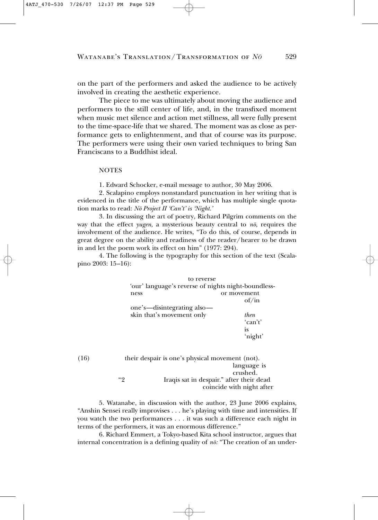on the part of the performers and asked the audience to be actively involved in creating the aesthetic experience.

The piece to me was ultimately about moving the audience and performers to the still center of life, and, in the transfixed moment when music met silence and action met stillness, all were fully present to the time-space-life that we shared. The moment was as close as performance gets to enlightenment, and that of course was its purpose. The performers were using their own varied techniques to bring San Franciscans to a Buddhist ideal.

#### **NOTES**

1. Edward Schocker, e-mail message to author, 30 May 2006.

2. Scalapino employs nonstandard punctuation in her writing that is evidenced in the title of the performance, which has multiple single quotation marks to read: *Nö Project II 'Can't' is 'Night.'* 

3. In discussing the art of poetry, Richard Pilgrim comments on the way that the effect *yugen,* a mysterious beauty central to *nö,* requires the involvement of the audience. He writes, "To do this, of course, depends in great degree on the ability and readiness of the reader/hearer to be drawn in and let the poem work its effect on him" (1977: 294).

4. The following is the typography for this section of the text (Scalapino 2003: 15–16):

| to reverse<br>'our' language's reverse of nights night-boundless- |             |
|-------------------------------------------------------------------|-------------|
| ness                                                              | or movement |
|                                                                   | of/in       |
| one's—disintegrating also—                                        |             |
| skin that's movement only                                         | <i>then</i> |
|                                                                   | 'can't'     |
|                                                                   | <i>is</i>   |
|                                                                   | 'night'     |

| (16) | their despair is one's physical movement (not). |                                          |
|------|-------------------------------------------------|------------------------------------------|
|      |                                                 | language is                              |
|      |                                                 | crushed.                                 |
|      | $\alpha$ Q                                      | Iraqis sat in despair." after their dead |
|      |                                                 | coincide with night after                |

5. Watanabe, in discussion with the author, 23 June 2006 explains, "Anshin Sensei really improvises . . . he's playing with time and intensities. If you watch the two performances . . . it was such a difference each night in terms of the performers, it was an enormous difference."

6. Richard Emmert, a Tokyo-based Kita school instructor, argues that internal concentration is a defining quality of *nö:* "The creation of an under